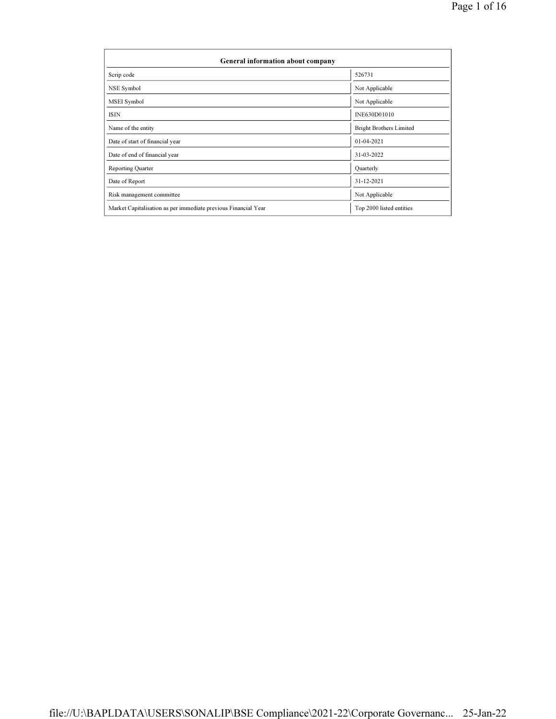| General information about company                              |                                |  |  |  |  |
|----------------------------------------------------------------|--------------------------------|--|--|--|--|
| Scrip code                                                     | 526731                         |  |  |  |  |
| NSE Symbol                                                     | Not Applicable                 |  |  |  |  |
| MSEI Symbol                                                    | Not Applicable                 |  |  |  |  |
| ISIN                                                           | INE630D01010                   |  |  |  |  |
| Name of the entity                                             | <b>Bright Brothers Limited</b> |  |  |  |  |
| Date of start of financial year                                | $01 - 04 - 2021$               |  |  |  |  |
| Date of end of financial year                                  | 31-03-2022                     |  |  |  |  |
| Reporting Quarter                                              | Quarterly                      |  |  |  |  |
| Date of Report                                                 | 31-12-2021                     |  |  |  |  |
| Risk management committee                                      | Not Applicable                 |  |  |  |  |
| Market Capitalisation as per immediate previous Financial Year | Top 2000 listed entities       |  |  |  |  |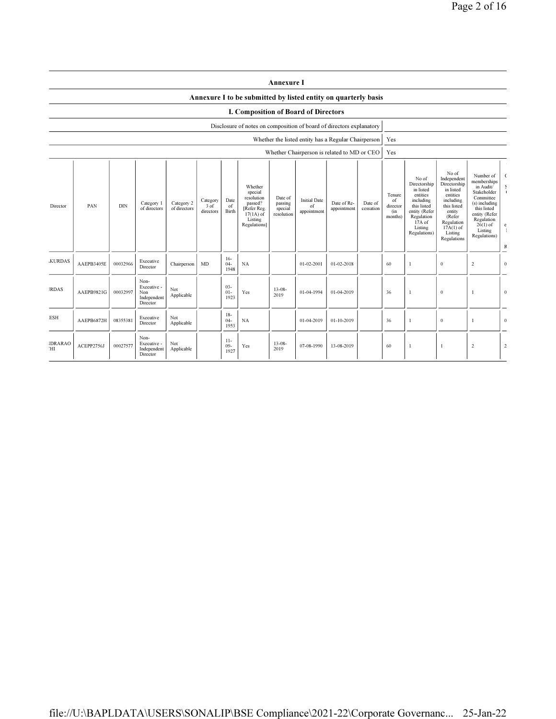|                       | <b>Annexure I</b><br>Annexure I to be submitted by listed entity on quarterly basis |            |                                                       |                            |                               |                         |                                                                                                      |                                             |                                          |                                                     |                      |                                            |                                                                                                                                                |                                                                                                                                                                      |                                                                                                                                                                           |                                     |
|-----------------------|-------------------------------------------------------------------------------------|------------|-------------------------------------------------------|----------------------------|-------------------------------|-------------------------|------------------------------------------------------------------------------------------------------|---------------------------------------------|------------------------------------------|-----------------------------------------------------|----------------------|--------------------------------------------|------------------------------------------------------------------------------------------------------------------------------------------------|----------------------------------------------------------------------------------------------------------------------------------------------------------------------|---------------------------------------------------------------------------------------------------------------------------------------------------------------------------|-------------------------------------|
|                       |                                                                                     |            |                                                       |                            |                               |                         | I. Composition of Board of Directors                                                                 |                                             |                                          |                                                     |                      |                                            |                                                                                                                                                |                                                                                                                                                                      |                                                                                                                                                                           |                                     |
|                       |                                                                                     |            |                                                       |                            |                               |                         | Disclosure of notes on composition of board of directors explanatory                                 |                                             |                                          |                                                     |                      |                                            |                                                                                                                                                |                                                                                                                                                                      |                                                                                                                                                                           |                                     |
|                       |                                                                                     |            |                                                       |                            |                               |                         |                                                                                                      |                                             |                                          | Whether the listed entity has a Regular Chairperson |                      | Yes                                        |                                                                                                                                                |                                                                                                                                                                      |                                                                                                                                                                           |                                     |
|                       |                                                                                     |            |                                                       |                            |                               |                         |                                                                                                      |                                             |                                          | Whether Chairperson is related to MD or CEO         |                      | Yes                                        |                                                                                                                                                |                                                                                                                                                                      |                                                                                                                                                                           |                                     |
| Director              | PAN                                                                                 | <b>DIN</b> | Category 1<br>of directors                            | Category 2<br>of directors | Category<br>3 of<br>directors | Date<br>of<br>Birth     | Whether<br>special<br>resolution<br>passed?<br>[Refer Reg.<br>$17(1A)$ of<br>Listing<br>Regulations] | Date of<br>passing<br>special<br>resolution | <b>Initial Date</b><br>of<br>appointment | Date of Re-<br>appointment                          | Date of<br>cessation | Tenure<br>of<br>director<br>(in<br>months) | No of<br>Directorship<br>in listed<br>entities<br>including<br>this listed<br>entity (Refer<br>Regulation<br>17A of<br>Listing<br>Regulations) | No of<br>Independent<br>Directorship<br>in listed<br>entities<br>including<br>this listed<br>entity<br>(Refer<br>Regulation<br>$17A(1)$ of<br>Listing<br>Regulations | Number of<br>memberships<br>in Audit/<br>Stakeholder<br>Committee<br>(s) including<br>this listed<br>entity (Refer<br>Regulation<br>$26(1)$ of<br>Listing<br>Regulations) | - 0<br>$\mathbf{c}$<br>$\mathbb{R}$ |
| <b>KURDAS</b>         | AAEPB3405E                                                                          | 00032966   | Executive<br>Director                                 | Chairperson                | MD                            | $16-$<br>$04 -$<br>1948 | NA                                                                                                   |                                             | 01-02-2001                               | 01-02-2018                                          |                      | 60                                         | $\mathbf{1}$                                                                                                                                   | $\mathbf{0}$                                                                                                                                                         | $\overline{c}$                                                                                                                                                            | $\overline{0}$                      |
| <b>IRDAS</b>          | AAEPB9821G                                                                          | 00032997   | Non-<br>Executive -<br>Non<br>Independent<br>Director | Not<br>Applicable          |                               | 03-<br>$01-$<br>1923    | Yes                                                                                                  | $13 - 08 -$<br>2019                         | 01-04-1994                               | 01-04-2019                                          |                      | 36                                         | -1                                                                                                                                             | $\mathbf{0}$                                                                                                                                                         | -1                                                                                                                                                                        | $\overline{0}$                      |
| ESH                   | AAEPB6872H                                                                          | 08355381   | Executive<br>Director                                 | Not<br>Applicable          |                               | $18-$<br>$04 -$<br>1953 | NA                                                                                                   |                                             | 01-04-2019                               | 01-10-2019                                          |                      | 36                                         | $\mathbf{I}$                                                                                                                                   | $\mathbf{0}$                                                                                                                                                         |                                                                                                                                                                           | $\overline{0}$                      |
| <b>IDRARAO</b><br>`HI | ACEPP2756J                                                                          | 00027577   | Non-<br>Executive -<br>Independent<br>Director        | Not<br>Applicable          |                               | $11-$<br>$09 -$<br>1927 | Yes                                                                                                  | $13 - 08$<br>2019                           | 07-08-1990                               | 13-08-2019                                          |                      | 60                                         | $\mathbf{I}$                                                                                                                                   | $\mathbf{1}$                                                                                                                                                         | 2                                                                                                                                                                         | $\overline{2}$                      |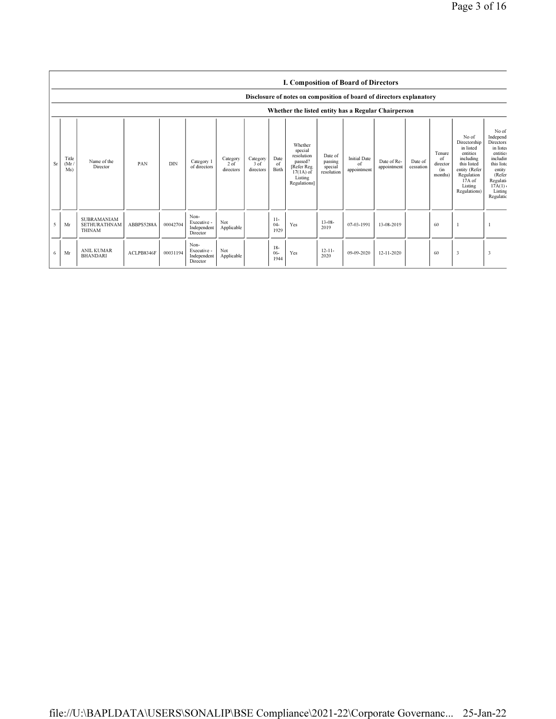|    |                                                                      | I. Composition of Board of Directors         |            |            |                                                |                                 |                                 |                         |                                                                                                      |                                             |                                          |                            |                      |                                            |                                                                                                                                                |                                                                                                                                                           |
|----|----------------------------------------------------------------------|----------------------------------------------|------------|------------|------------------------------------------------|---------------------------------|---------------------------------|-------------------------|------------------------------------------------------------------------------------------------------|---------------------------------------------|------------------------------------------|----------------------------|----------------------|--------------------------------------------|------------------------------------------------------------------------------------------------------------------------------------------------|-----------------------------------------------------------------------------------------------------------------------------------------------------------|
|    | Disclosure of notes on composition of board of directors explanatory |                                              |            |            |                                                |                                 |                                 |                         |                                                                                                      |                                             |                                          |                            |                      |                                            |                                                                                                                                                |                                                                                                                                                           |
|    |                                                                      |                                              |            |            |                                                |                                 |                                 |                         | Whether the listed entity has a Regular Chairperson                                                  |                                             |                                          |                            |                      |                                            |                                                                                                                                                |                                                                                                                                                           |
| Sr | Title<br>(Mr)<br>Ms)                                                 | Name of the<br>Director                      | PAN        | <b>DIN</b> | Category 1<br>of directors                     | Category<br>$2$ of<br>directors | Category<br>$3$ of<br>directors | Date<br>of<br>Birth     | Whether<br>special<br>resolution<br>passed?<br>[Refer Reg.<br>$17(1A)$ of<br>Listing<br>Regulations] | Date of<br>passing<br>special<br>resolution | <b>Initial Date</b><br>of<br>appointment | Date of Re-<br>appointment | Date of<br>cessation | Tenure<br>of<br>director<br>(in<br>months) | No of<br>Directorship<br>in listed<br>entities<br>including<br>this listed<br>entity (Refer<br>Regulation<br>17A of<br>Listing<br>Regulations) | No of<br>Independ<br><b>Directors</b><br>in liste<br>entities<br>includin<br>this liste<br>entity<br>(Refer<br>Regulati<br>17A(1)<br>Listing<br>Regulatio |
| 5  | Mr                                                                   | SUBRAMANIAM<br>SETHURATHNAM<br><b>THINAM</b> | ABBPS5288A | 00042704   | Non-<br>Executive -<br>Independent<br>Director | Not<br>Applicable               |                                 | $11-$<br>$04 -$<br>1929 | Yes                                                                                                  | $13 - 08 -$<br>2019                         | 07-03-1991                               | 13-08-2019                 |                      | 60                                         |                                                                                                                                                |                                                                                                                                                           |
| 6  | Mr                                                                   | <b>ANIL KUMAR</b><br><b>BHANDARI</b>         | ACLPB8346F | 00031194   | Non-<br>Executive -<br>Independent<br>Director | Not<br>Applicable               |                                 | $18-$<br>$06 -$<br>1944 | Yes                                                                                                  | $12 - 11 -$<br>2020                         | 09-09-2020                               | 12-11-2020                 |                      | 60                                         | 3                                                                                                                                              | 3                                                                                                                                                         |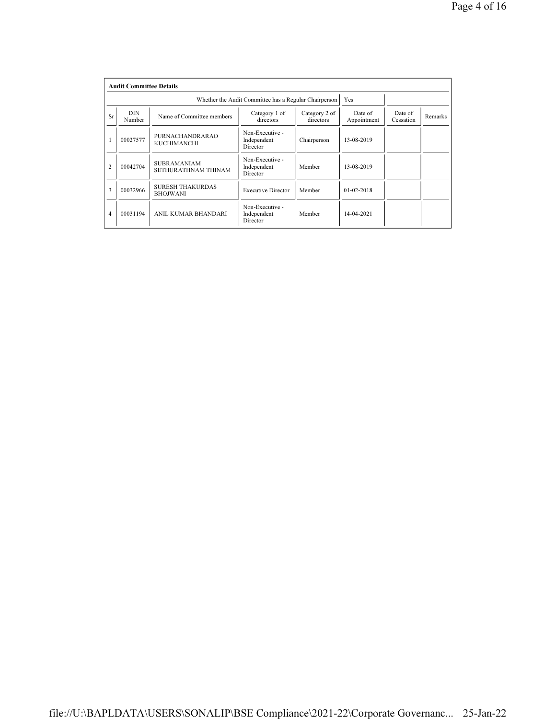|                | <b>Audit Committee Details</b> |                                            |                                                          |             |                  |                      |         |  |  |  |
|----------------|--------------------------------|--------------------------------------------|----------------------------------------------------------|-------------|------------------|----------------------|---------|--|--|--|
|                |                                |                                            | Whether the Audit Committee has a Regular Chairperson    |             | Yes              |                      |         |  |  |  |
| Sr             | <b>DIN</b><br>Number           | Name of Committee members                  | Category 1 of<br>Category 2 of<br>directors<br>directors |             |                  | Date of<br>Cessation | Remarks |  |  |  |
|                | 00027577                       | PURNACHANDRARAO<br>KUCHIMANCHI             | Non-Executive -<br>Independent<br>Director               | Chairperson | 13-08-2019       |                      |         |  |  |  |
| $\overline{2}$ | 00042704                       | <b>SUBRAMANIAM</b><br>SETHURATHNAM THINAM  | Non-Executive -<br>Independent<br>Director               | Member      | 13-08-2019       |                      |         |  |  |  |
| 3              | 00032966                       | <b>SURESH THAKURDAS</b><br><b>BHOJWANI</b> | <b>Executive Director</b>                                | Member      | $01 - 02 - 2018$ |                      |         |  |  |  |
| $\overline{4}$ | 00031194                       | ANIL KUMAR BHANDARI                        | Non-Executive -<br>Independent<br>Director               | Member      | 14-04-2021       |                      |         |  |  |  |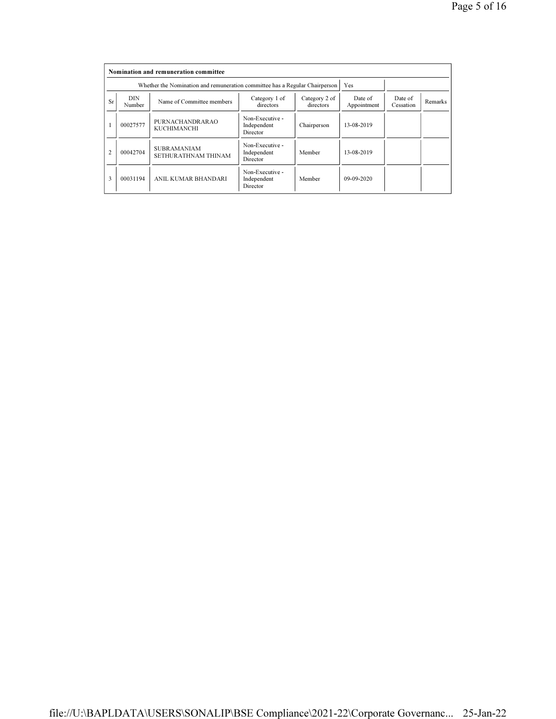|                | Nomination and remuneration committee |                                                                             |                                            |                      |            |  |  |  |  |  |
|----------------|---------------------------------------|-----------------------------------------------------------------------------|--------------------------------------------|----------------------|------------|--|--|--|--|--|
|                |                                       | Whether the Nomination and remuneration committee has a Regular Chairperson |                                            | Yes                  |            |  |  |  |  |  |
| Sr             | <b>DIN</b><br>Number                  | Name of Committee members                                                   | Date of<br>Appointment                     | Date of<br>Cessation | Remarks    |  |  |  |  |  |
|                | 00027577                              | PURNACHANDRARAO<br>KUCHIMANCHI                                              | Non-Executive -<br>Independent<br>Director | Chairperson          | 13-08-2019 |  |  |  |  |  |
| $\overline{c}$ | 00042704                              | <b>SUBRAMANIAM</b><br>SETHURATHNAM THINAM                                   | Non-Executive -<br>Independent<br>Director | Member               | 13-08-2019 |  |  |  |  |  |
| 3              | 00031194                              | ANIL KUMAR BHANDARI                                                         | Non-Executive -<br>Independent<br>Director | Member               | 09-09-2020 |  |  |  |  |  |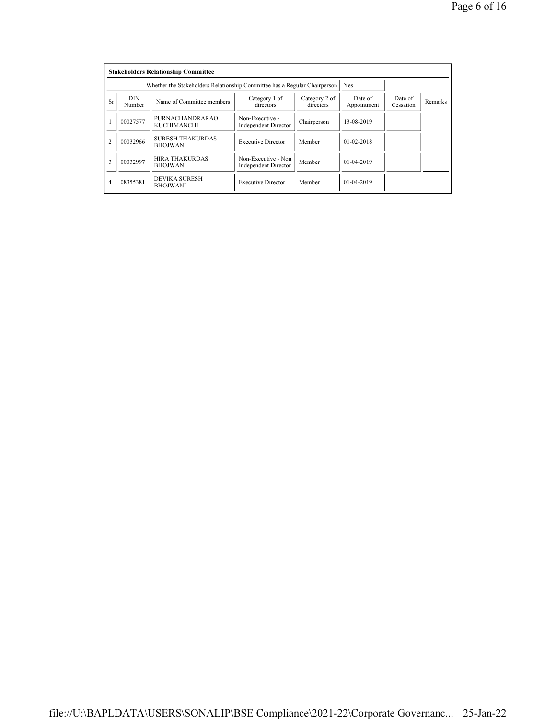|                | <b>Stakeholders Relationship Committee</b> |                                                                           |                                                |                      |                  |  |  |  |  |  |
|----------------|--------------------------------------------|---------------------------------------------------------------------------|------------------------------------------------|----------------------|------------------|--|--|--|--|--|
|                |                                            | Whether the Stakeholders Relationship Committee has a Regular Chairperson |                                                |                      | Yes              |  |  |  |  |  |
| Sr             | <b>DIN</b><br>Number                       | Name of Committee members                                                 | Date of<br>Appointment                         | Date of<br>Cessation | <b>Remarks</b>   |  |  |  |  |  |
|                | 00027577                                   | PURNACHANDRARAO<br>KUCHIMANCHI                                            | Non-Executive -<br><b>Independent Director</b> | Chairperson          | 13-08-2019       |  |  |  |  |  |
| $\overline{c}$ | 00032966                                   | <b>SURESH THAKURDAS</b><br><b>BHOJWANI</b>                                | <b>Executive Director</b>                      | Member               | $01 - 02 - 2018$ |  |  |  |  |  |
| 3              | 00032997                                   | <b>HIRA THAKURDAS</b><br><b>BHOJWANI</b>                                  | Non-Executive - Non<br>Independent Director    | Member               | $01 - 04 - 2019$ |  |  |  |  |  |
| 4              | 08355381                                   | <b>DEVIKA SURESH</b><br><b>BHOJWANI</b>                                   | <b>Executive Director</b>                      | Member               | 01-04-2019       |  |  |  |  |  |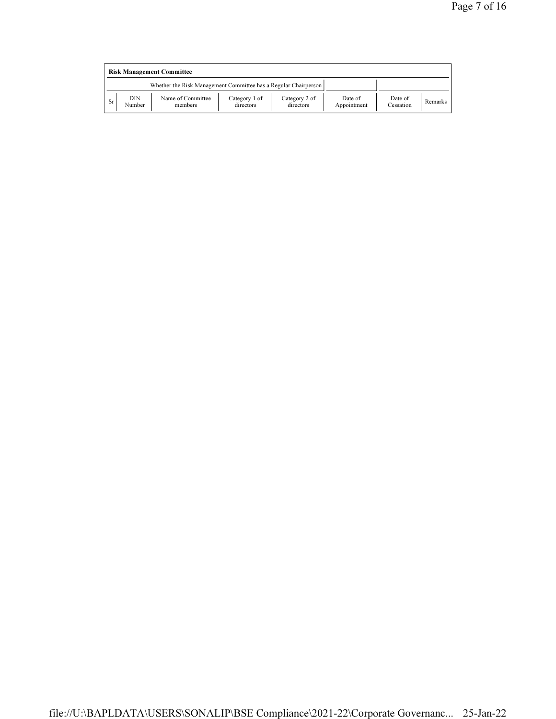|    | <b>Risk Management Committee</b> |                                                                 |                            |                            |                        |                      |         |  |  |
|----|----------------------------------|-----------------------------------------------------------------|----------------------------|----------------------------|------------------------|----------------------|---------|--|--|
|    |                                  | Whether the Risk Management Committee has a Regular Chairperson |                            |                            |                        |                      |         |  |  |
| Sr | DIN<br>Number                    | Name of Committee<br>members                                    | Category 1 of<br>directors | Category 2 of<br>directors | Date of<br>Appointment | Date of<br>Cessation | Remarks |  |  |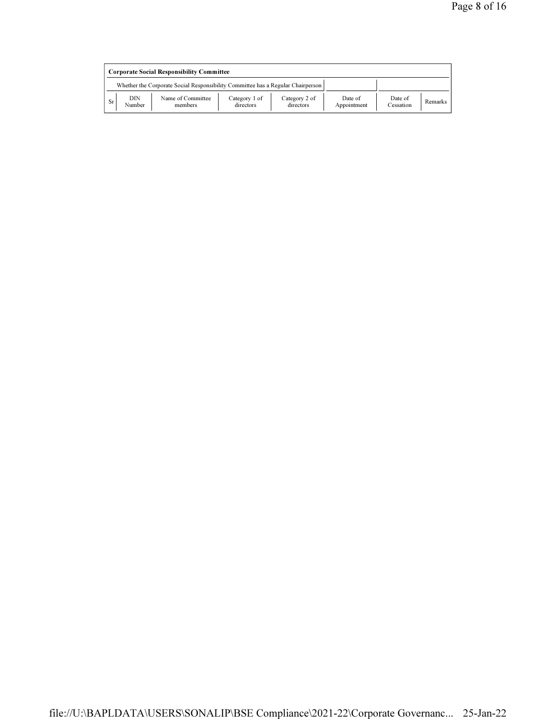|    | <b>Corporate Social Responsibility Committee</b> |                                                                                 |                            |                            |                        |                      |         |  |  |
|----|--------------------------------------------------|---------------------------------------------------------------------------------|----------------------------|----------------------------|------------------------|----------------------|---------|--|--|
|    |                                                  | Whether the Corporate Social Responsibility Committee has a Regular Chairperson |                            |                            |                        |                      |         |  |  |
| Sr | DIN<br>Number                                    | Name of Committee<br>members                                                    | Category 1 of<br>directors | Category 2 of<br>directors | Date of<br>Appointment | Date of<br>Cessation | Remarks |  |  |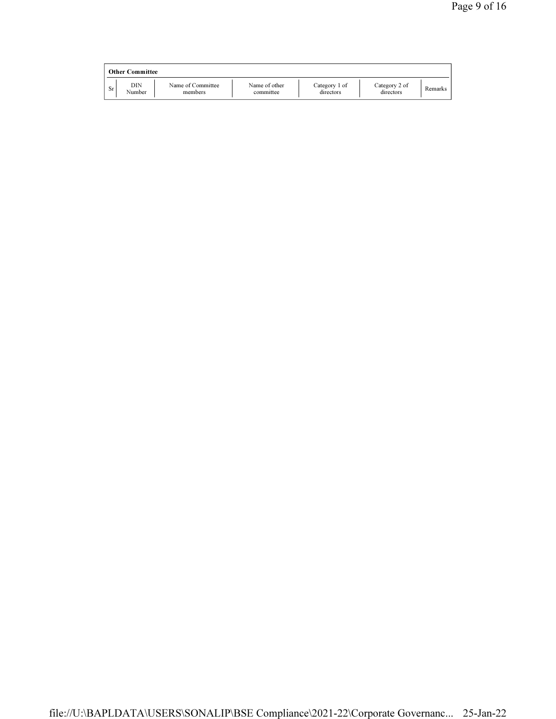|    | <b>Other Committee</b> |                              |                            |                            |                            |         |
|----|------------------------|------------------------------|----------------------------|----------------------------|----------------------------|---------|
| Sr | DIN<br>Number          | Name of Committee<br>members | Name of other<br>committee | Category 1 of<br>directors | Category 2 of<br>directors | Remarks |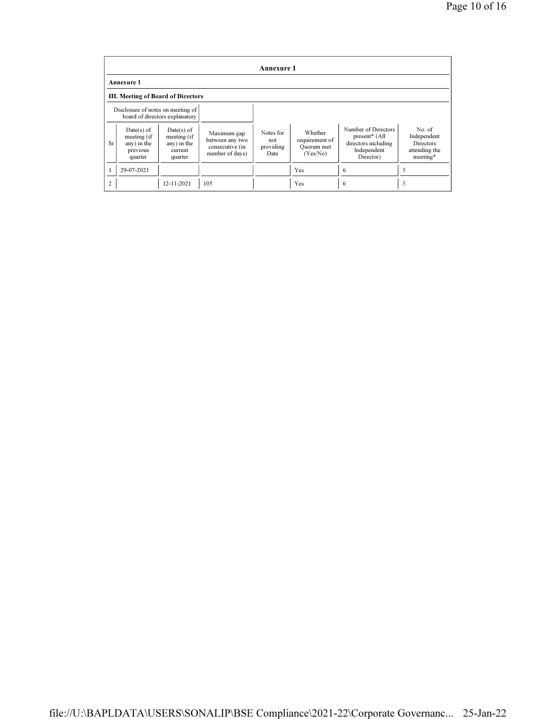|                                    | <b>Annexure 1</b>                                                 |                                                                  |                                                                      |                                       |                                                     |                                                                                           |                                                                        |  |  |
|------------------------------------|-------------------------------------------------------------------|------------------------------------------------------------------|----------------------------------------------------------------------|---------------------------------------|-----------------------------------------------------|-------------------------------------------------------------------------------------------|------------------------------------------------------------------------|--|--|
|                                    | <b>Annexure 1</b>                                                 |                                                                  |                                                                      |                                       |                                                     |                                                                                           |                                                                        |  |  |
| III. Meeting of Board of Directors |                                                                   |                                                                  |                                                                      |                                       |                                                     |                                                                                           |                                                                        |  |  |
|                                    | Disclosure of notes on meeting of                                 | board of directors explanatory                                   |                                                                      |                                       |                                                     |                                                                                           |                                                                        |  |  |
| Sr                                 | $Date(s)$ of<br>meeting (if<br>any) in the<br>previous<br>quarter | $Date(s)$ of<br>meeting (if<br>any) in the<br>current<br>quarter | Maximum gap<br>between any two<br>consecutive (in<br>number of days) | Notes for<br>not<br>providing<br>Date | Whether<br>requirement of<br>Quorum met<br>(Yes/No) | Number of Directors<br>$present*$ (All<br>directors including<br>Independent<br>Director) | No. of<br>Independent<br><b>Directors</b><br>attending the<br>meeting* |  |  |
|                                    | 29-07-2021                                                        |                                                                  |                                                                      |                                       | Yes                                                 | -6                                                                                        | 3                                                                      |  |  |
| $\overline{2}$                     |                                                                   | $12 - 11 - 2021$                                                 | 105                                                                  |                                       | Yes                                                 | 6                                                                                         | 3                                                                      |  |  |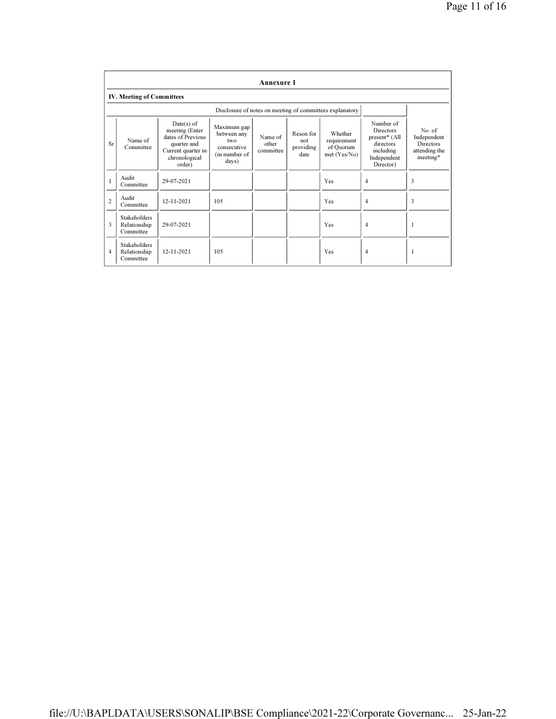|                | <b>Annexure 1</b>                                |                                                                                                                     |                                                                            |                               |                                       |                                                          |                                                                                                      |                                                                        |  |
|----------------|--------------------------------------------------|---------------------------------------------------------------------------------------------------------------------|----------------------------------------------------------------------------|-------------------------------|---------------------------------------|----------------------------------------------------------|------------------------------------------------------------------------------------------------------|------------------------------------------------------------------------|--|
|                | <b>IV. Meeting of Committees</b>                 |                                                                                                                     |                                                                            |                               |                                       |                                                          |                                                                                                      |                                                                        |  |
|                |                                                  |                                                                                                                     |                                                                            |                               |                                       | Disclosure of notes on meeting of committees explanatory |                                                                                                      |                                                                        |  |
| Sr             | Name of<br>Committee                             | $Date(s)$ of<br>meeting (Enter<br>dates of Previous<br>quarter and<br>Current quarter in<br>chronological<br>order) | Maximum gap<br>between any<br>two<br>consecutive<br>(in number of<br>days) | Name of<br>other<br>committee | Reson for<br>not<br>providing<br>date | Whether<br>requirement<br>of Quorum<br>met(Yes/No)       | Number of<br><b>Directors</b><br>present* (All<br>directors<br>including<br>Independent<br>Director) | No. of<br>Independent<br><b>Directors</b><br>attending the<br>meeting* |  |
| $\mathbf{1}$   | Audit<br>Committee                               | 29-07-2021                                                                                                          |                                                                            |                               |                                       | Yes                                                      | $\overline{4}$                                                                                       | 3                                                                      |  |
| $\overline{2}$ | Audit<br>Committee                               | 12-11-2021                                                                                                          | 105                                                                        |                               |                                       | Yes                                                      | $\overline{4}$                                                                                       | 3                                                                      |  |
| 3              | <b>Stakeholders</b><br>Relationship<br>Committee | 29-07-2021                                                                                                          |                                                                            |                               |                                       | Yes                                                      | $\overline{4}$                                                                                       | 1                                                                      |  |
| $\overline{4}$ | <b>Stakeholders</b><br>Relationship<br>Committee | 12-11-2021                                                                                                          | 105                                                                        |                               |                                       | Yes                                                      | $\overline{4}$                                                                                       | ш                                                                      |  |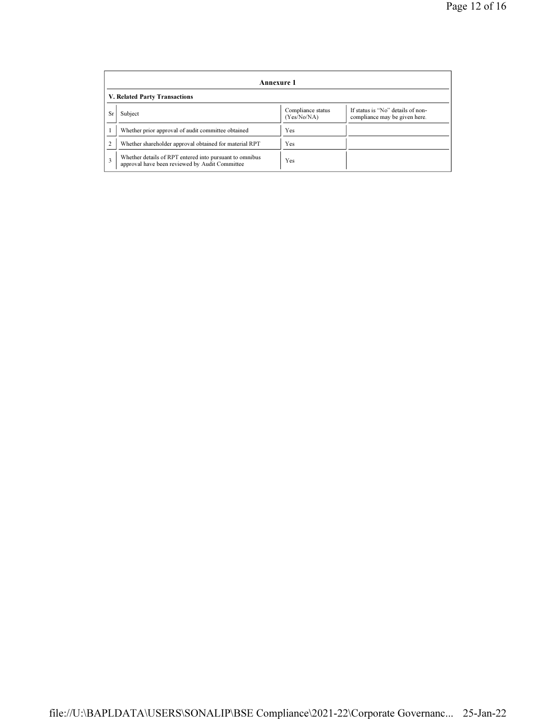|    | Annexure 1                                                                                                |                                  |                                                                    |  |  |  |  |  |
|----|-----------------------------------------------------------------------------------------------------------|----------------------------------|--------------------------------------------------------------------|--|--|--|--|--|
|    | V. Related Party Transactions                                                                             |                                  |                                                                    |  |  |  |  |  |
| Sr | Subject                                                                                                   | Compliance status<br>(Yes/No/NA) | If status is "No" details of non-<br>compliance may be given here. |  |  |  |  |  |
|    | Whether prior approval of audit committee obtained                                                        | Yes                              |                                                                    |  |  |  |  |  |
| ∍  | Whether shareholder approval obtained for material RPT                                                    | Yes                              |                                                                    |  |  |  |  |  |
| 3  | Whether details of RPT entered into pursuant to omnibus<br>approval have been reviewed by Audit Committee | Yes                              |                                                                    |  |  |  |  |  |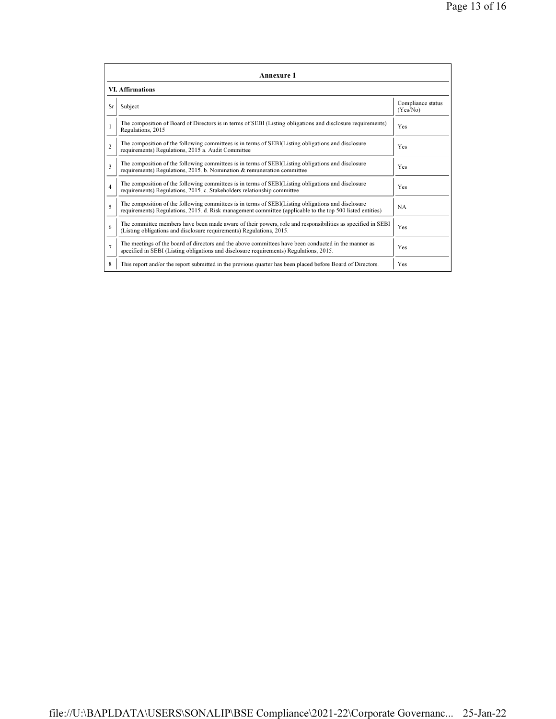| Annexure 1              |                                                                                                                                                                                                                 |                               |  |  |  |
|-------------------------|-----------------------------------------------------------------------------------------------------------------------------------------------------------------------------------------------------------------|-------------------------------|--|--|--|
| <b>VI. Affirmations</b> |                                                                                                                                                                                                                 |                               |  |  |  |
| Sr                      | Subject                                                                                                                                                                                                         | Compliance status<br>(Yes/No) |  |  |  |
|                         | The composition of Board of Directors is in terms of SEBI (Listing obligations and disclosure requirements)<br>Regulations, 2015                                                                                | Yes                           |  |  |  |
| $\mathfrak{D}$          | The composition of the following committees is in terms of SEBI(Listing obligations and disclosure<br>requirements) Regulations, 2015 a. Audit Committee                                                        | Yes                           |  |  |  |
| 3                       | The composition of the following committees is in terms of SEBI(Listing obligations and disclosure<br>requirements) Regulations, 2015. b. Nomination & remuneration committee                                   | Yes                           |  |  |  |
| $\overline{4}$          | The composition of the following committees is in terms of SEBI(Listing obligations and disclosure<br>requirements) Regulations, 2015. c. Stakeholders relationship committee                                   | Yes                           |  |  |  |
| 5                       | The composition of the following committees is in terms of SEBI(Listing obligations and disclosure<br>requirements) Regulations, 2015. d. Risk management committee (applicable to the top 500 listed entities) | NA.                           |  |  |  |
| 6                       | The committee members have been made aware of their powers, role and responsibilities as specified in SEBI<br>(Listing obligations and disclosure requirements) Regulations, 2015.                              | Yes                           |  |  |  |
| $\overline{7}$          | The meetings of the board of directors and the above committees have been conducted in the manner as<br>specified in SEBI (Listing obligations and disclosure requirements) Regulations, 2015.                  | Yes                           |  |  |  |
| 8                       | This report and/or the report submitted in the previous quarter has been placed before Board of Directors.                                                                                                      | Yes                           |  |  |  |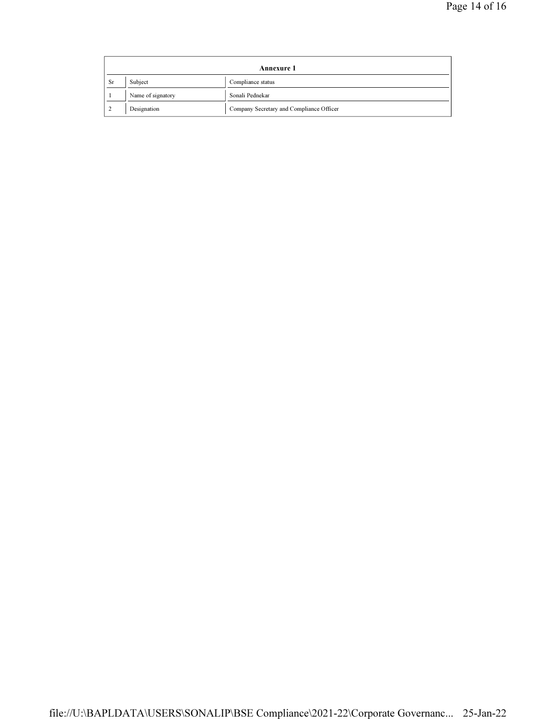| Annexure 1    |                   |                                          |  |
|---------------|-------------------|------------------------------------------|--|
| Sr            | Subject           | Compliance status                        |  |
|               | Name of signatory | Sonali Pednekar                          |  |
| $\mathcal{L}$ | Designation       | Company Secretary and Compliance Officer |  |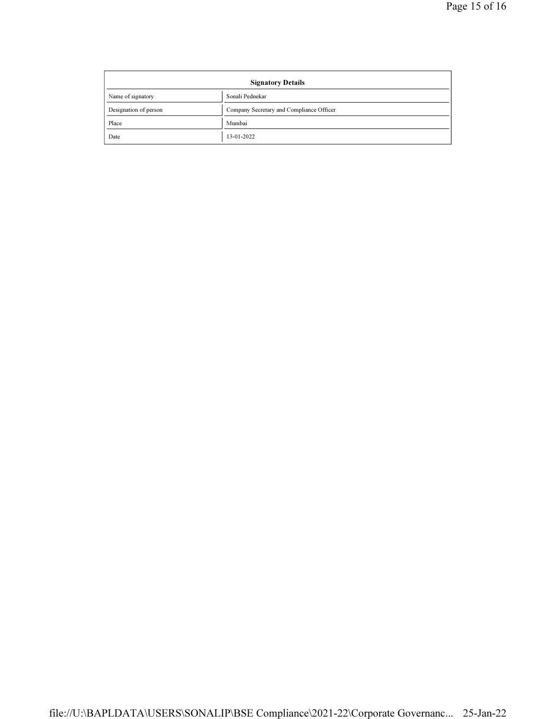| <b>Signatory Details</b> |                                          |  |
|--------------------------|------------------------------------------|--|
| Name of signatory        | Sonali Pednekar                          |  |
| Designation of person    | Company Secretary and Compliance Officer |  |
| Place                    | Mumbai                                   |  |
| Date                     | 13-01-2022                               |  |